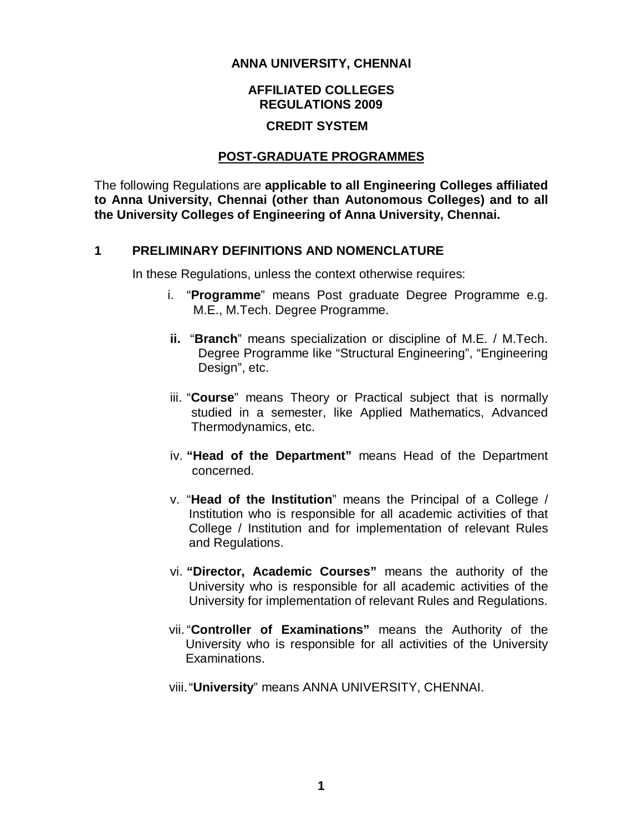#### **ANNA UNIVERSITY, CHENNAI**

### **AFFILIATED COLLEGES REGULATIONS 2009**

### **CREDIT SYSTEM**

#### **POST-GRADUATE PROGRAMMES**

The following Regulations are **applicable to all Engineering Colleges affiliated to Anna University, Chennai (other than Autonomous Colleges) and to all the University Colleges of Engineering of Anna University, Chennai.** 

#### **1 PRELIMINARY DEFINITIONS AND NOMENCLATURE**

In these Regulations, unless the context otherwise requires:

- i. "**Programme**" means Post graduate Degree Programme e.g. M.E., M.Tech. Degree Programme.
- **ii.** "**Branch**" means specialization or discipline of M.E. / M.Tech. Degree Programme like "Structural Engineering", "Engineering Design", etc.
- iii. "**Course**" means Theory or Practical subject that is normally studied in a semester, like Applied Mathematics, Advanced Thermodynamics, etc.
- iv. **"Head of the Department"** means Head of the Department concerned.
- v. "**Head of the Institution**" means the Principal of a College / Institution who is responsible for all academic activities of that College / Institution and for implementation of relevant Rules and Regulations.
- vi. **"Director, Academic Courses"** means the authority of the University who is responsible for all academic activities of the University for implementation of relevant Rules and Regulations.
- vii."**Controller of Examinations"** means the Authority of the University who is responsible for all activities of the University Examinations.
- viii."**University**" means ANNA UNIVERSITY, CHENNAI.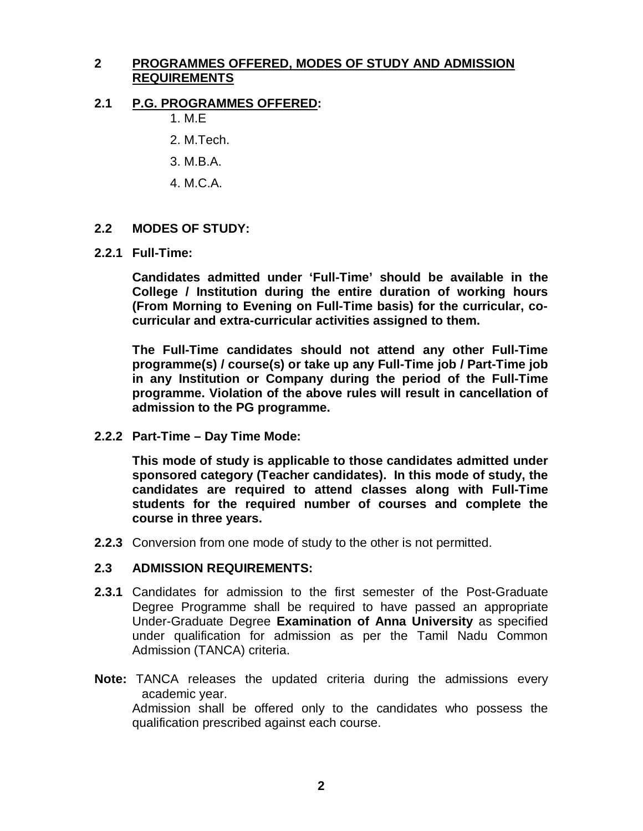## **2 PROGRAMMES OFFERED, MODES OF STUDY AND ADMISSION REQUIREMENTS**

### **2.1 P.G. PROGRAMMES OFFERED:**

- 1. M.E
- 2. M.Tech.
- 3. M.B.A.
- 4. M.C.A.

#### **2.2 MODES OF STUDY:**

**2.2.1 Full-Time:** 

**Candidates admitted under 'Full-Time' should be available in the College / Institution during the entire duration of working hours (From Morning to Evening on Full-Time basis) for the curricular, cocurricular and extra-curricular activities assigned to them.**

**The Full-Time candidates should not attend any other Full-Time programme(s) / course(s) or take up any Full-Time job / Part-Time job in any Institution or Company during the period of the Full-Time programme. Violation of the above rules will result in cancellation of admission to the PG programme.**

**2.2.2 Part-Time – Day Time Mode:** 

**This mode of study is applicable to those candidates admitted under sponsored category (Teacher candidates). In this mode of study, the candidates are required to attend classes along with Full-Time students for the required number of courses and complete the course in three years.**

**2.2.3** Conversion from one mode of study to the other is not permitted.

### **2.3 ADMISSION REQUIREMENTS:**

- **2.3.1** Candidates for admission to the first semester of the Post-Graduate Degree Programme shall be required to have passed an appropriate Under-Graduate Degree **Examination of Anna University** as specified under qualification for admission as per the Tamil Nadu Common Admission (TANCA) criteria.
- **Note:** TANCA releases the updated criteria during the admissions every academic year.

Admission shall be offered only to the candidates who possess the qualification prescribed against each course.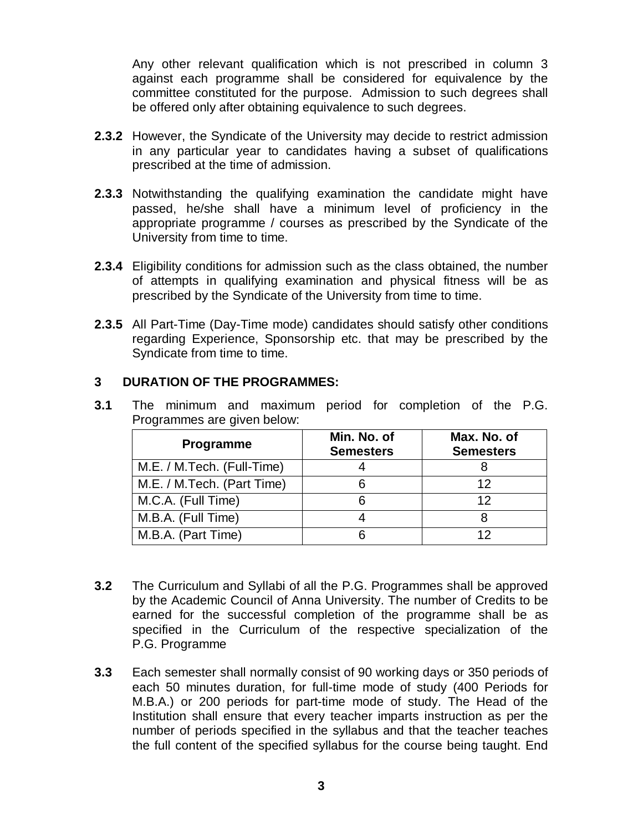Any other relevant qualification which is not prescribed in column 3 against each programme shall be considered for equivalence by the committee constituted for the purpose. Admission to such degrees shall be offered only after obtaining equivalence to such degrees.

- **2.3.2** However, the Syndicate of the University may decide to restrict admission in any particular year to candidates having a subset of qualifications prescribed at the time of admission.
- **2.3.3** Notwithstanding the qualifying examination the candidate might have passed, he/she shall have a minimum level of proficiency in the appropriate programme / courses as prescribed by the Syndicate of the University from time to time.
- **2.3.4** Eligibility conditions for admission such as the class obtained, the number of attempts in qualifying examination and physical fitness will be as prescribed by the Syndicate of the University from time to time.
- **2.3.5** All Part-Time (Day-Time mode) candidates should satisfy other conditions regarding Experience, Sponsorship etc. that may be prescribed by the Syndicate from time to time.

## **3 DURATION OF THE PROGRAMMES:**

| Programme                  | Min. No. of<br><b>Semesters</b> | Max. No. of<br><b>Semesters</b> |
|----------------------------|---------------------------------|---------------------------------|
| M.E. / M.Tech. (Full-Time) |                                 |                                 |
| M.E. / M.Tech. (Part Time) |                                 | 12                              |
| M.C.A. (Full Time)         |                                 | 12                              |
| M.B.A. (Full Time)         |                                 |                                 |
| M.B.A. (Part Time)         |                                 |                                 |

**3.1** The minimum and maximum period for completion of the P.G. Programmes are given below:

- **3.2** The Curriculum and Syllabi of all the P.G. Programmes shall be approved by the Academic Council of Anna University. The number of Credits to be earned for the successful completion of the programme shall be as specified in the Curriculum of the respective specialization of the P.G. Programme
- **3.3** Each semester shall normally consist of 90 working days or 350 periods of each 50 minutes duration, for full-time mode of study (400 Periods for M.B.A.) or 200 periods for part-time mode of study. The Head of the Institution shall ensure that every teacher imparts instruction as per the number of periods specified in the syllabus and that the teacher teaches the full content of the specified syllabus for the course being taught. End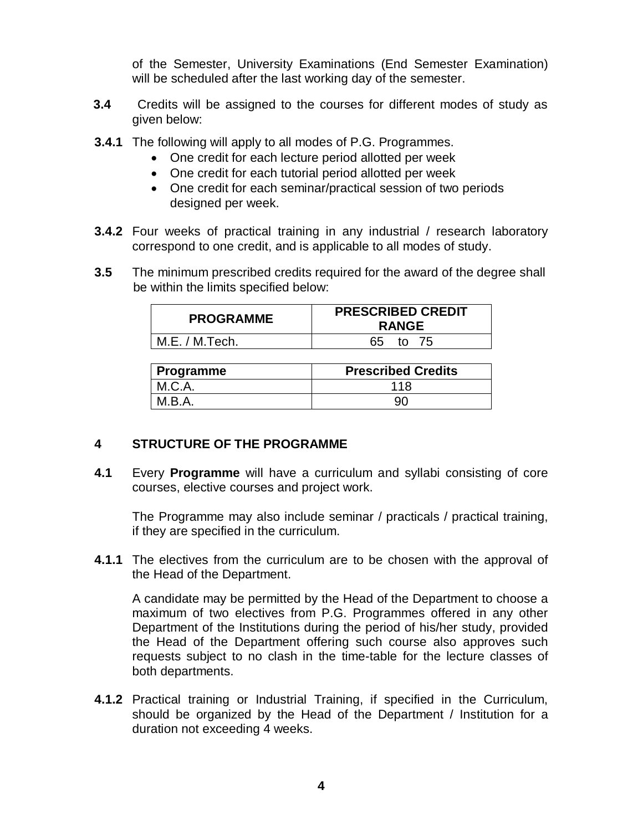of the Semester, University Examinations (End Semester Examination) will be scheduled after the last working day of the semester.

- **3.4** Credits will be assigned to the courses for different modes of study as given below:
- **3.4.1** The following will apply to all modes of P.G. Programmes.
	- One credit for each lecture period allotted per week
		- One credit for each tutorial period allotted per week
		- One credit for each seminar/practical session of two periods designed per week.
- **3.4.2** Four weeks of practical training in any industrial / research laboratory correspond to one credit, and is applicable to all modes of study.
- **3.5** The minimum prescribed credits required for the award of the degree shall be within the limits specified below:

| <b>PROGRAMME</b> | <b>PRESCRIBED CREDIT</b><br><b>RANGE</b> |
|------------------|------------------------------------------|
| M.E. / M.Tech.   | 65 to 75                                 |

| Programme | <b>Prescribed Credits</b> |
|-----------|---------------------------|
| M.C.A.    | 118                       |
| M.B.A.    | 9ſ                        |

# **4 STRUCTURE OF THE PROGRAMME**

**4.1** Every **Programme** will have a curriculum and syllabi consisting of core courses, elective courses and project work.

The Programme may also include seminar / practicals / practical training, if they are specified in the curriculum.

**4.1.1** The electives from the curriculum are to be chosen with the approval of the Head of the Department.

A candidate may be permitted by the Head of the Department to choose a maximum of two electives from P.G. Programmes offered in any other Department of the Institutions during the period of his/her study, provided the Head of the Department offering such course also approves such requests subject to no clash in the time-table for the lecture classes of both departments.

**4.1.2** Practical training or Industrial Training, if specified in the Curriculum, should be organized by the Head of the Department / Institution for a duration not exceeding 4 weeks.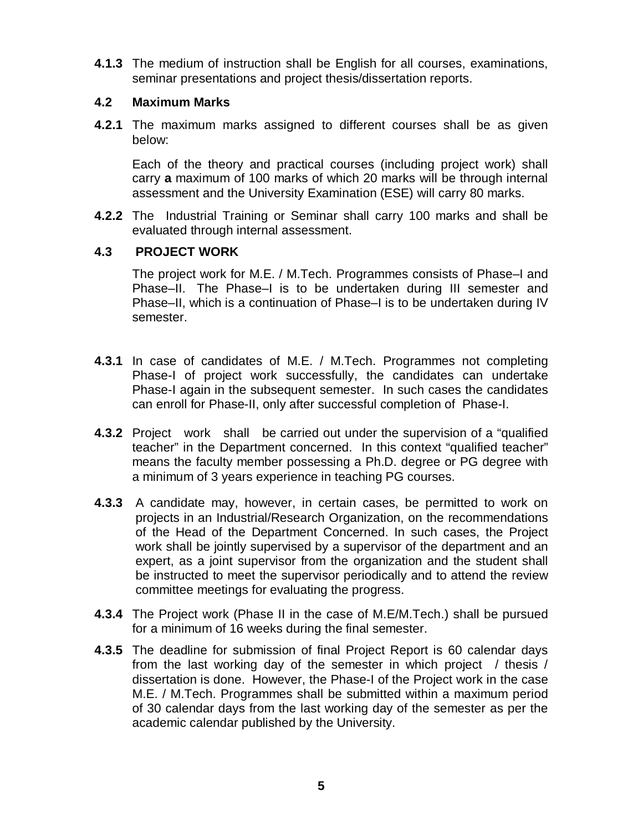**4.1.3** The medium of instruction shall be English for all courses, examinations, seminar presentations and project thesis/dissertation reports.

## **4.2 Maximum Marks**

**4.2.1** The maximum marks assigned to different courses shall be as given below:

Each of the theory and practical courses (including project work) shall carry **a** maximum of 100 marks of which 20 marks will be through internal assessment and the University Examination (ESE) will carry 80 marks.

**4.2.2** The Industrial Training or Seminar shall carry 100 marks and shall be evaluated through internal assessment.

# **4.3 PROJECT WORK**

The project work for M.E. / M.Tech. Programmes consists of Phase–I and Phase–II. The Phase–I is to be undertaken during III semester and Phase–II, which is a continuation of Phase–I is to be undertaken during IV semester.

- **4.3.1** In case of candidates of M.E. / M.Tech. Programmes not completing Phase-I of project work successfully, the candidates can undertake Phase-I again in the subsequent semester. In such cases the candidates can enroll for Phase-II, only after successful completion of Phase-I.
- **4.3.2** Project work shall be carried out under the supervision of a "qualified teacher" in the Department concerned. In this context "qualified teacher" means the faculty member possessing a Ph.D. degree or PG degree with a minimum of 3 years experience in teaching PG courses.
- **4.3.3** A candidate may, however, in certain cases, be permitted to work on projects in an Industrial/Research Organization, on the recommendations of the Head of the Department Concerned. In such cases, the Project work shall be jointly supervised by a supervisor of the department and an expert, as a joint supervisor from the organization and the student shall be instructed to meet the supervisor periodically and to attend the review committee meetings for evaluating the progress.
- **4.3.4** The Project work (Phase II in the case of M.E/M.Tech.) shall be pursued for a minimum of 16 weeks during the final semester.
- **4.3.5** The deadline for submission of final Project Report is 60 calendar days from the last working day of the semester in which project / thesis / dissertation is done. However, the Phase-I of the Project work in the case M.E. / M.Tech. Programmes shall be submitted within a maximum period of 30 calendar days from the last working day of the semester as per the academic calendar published by the University.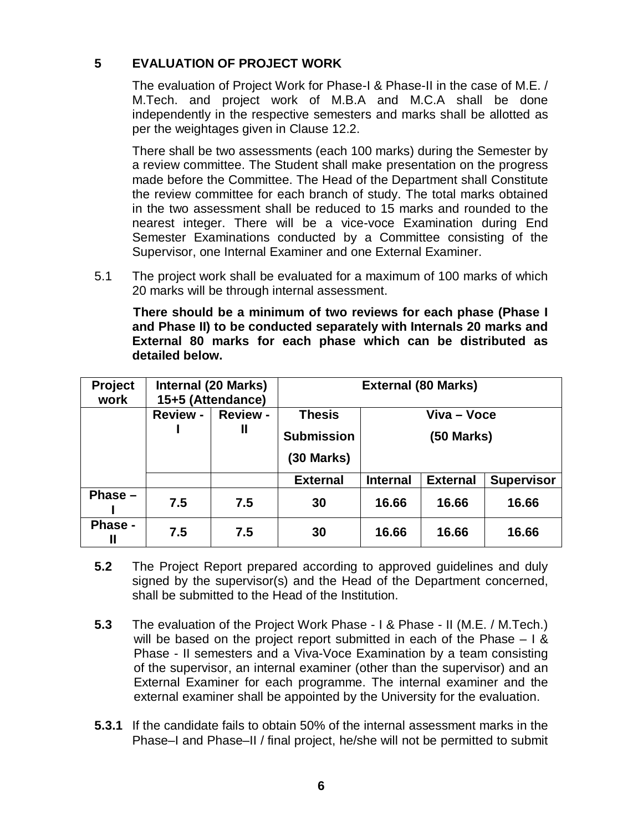# **5 EVALUATION OF PROJECT WORK**

The evaluation of Project Work for Phase-I & Phase-II in the case of M.E. / M.Tech. and project work of M.B.A and M.C.A shall be done independently in the respective semesters and marks shall be allotted as per the weightages given in Clause 12.2.

There shall be two assessments (each 100 marks) during the Semester by a review committee. The Student shall make presentation on the progress made before the Committee. The Head of the Department shall Constitute the review committee for each branch of study. The total marks obtained in the two assessment shall be reduced to 15 marks and rounded to the nearest integer. There will be a vice-voce Examination during End Semester Examinations conducted by a Committee consisting of the Supervisor, one Internal Examiner and one External Examiner.

5.1 The project work shall be evaluated for a maximum of 100 marks of which 20 marks will be through internal assessment.

 **There should be a minimum of two reviews for each phase (Phase I and Phase II) to be conducted separately with Internals 20 marks and External 80 marks for each phase which can be distributed as detailed below.**

| Project<br>work | <b>Internal (20 Marks)</b><br>15+5 (Attendance) |                 | <b>External (80 Marks)</b>        |                 |                 |                   |
|-----------------|-------------------------------------------------|-----------------|-----------------------------------|-----------------|-----------------|-------------------|
|                 | <b>Review -</b>                                 | <b>Review -</b> | <b>Thesis</b>                     | Viva – Voce     |                 |                   |
|                 |                                                 | Ш               | <b>Submission</b><br>$(30$ Marks) |                 | (50 Marks)      |                   |
|                 |                                                 |                 |                                   |                 |                 |                   |
|                 |                                                 |                 | <b>External</b>                   | <b>Internal</b> | <b>External</b> | <b>Supervisor</b> |
| Phase $-$       | 7.5                                             | 7.5             | 30                                | 16.66           | 16.66           | 16.66             |
| Phase -<br>Ш    | 7.5                                             | 7.5             | 30                                | 16.66           | 16.66           | 16.66             |

- **5.2** The Project Report prepared according to approved guidelines and duly signed by the supervisor(s) and the Head of the Department concerned, shall be submitted to the Head of the Institution.
- **5.3** The evaluation of the Project Work Phase I & Phase II (M.E. / M.Tech.) will be based on the project report submitted in each of the Phase – I & Phase - II semesters and a Viva-Voce Examination by a team consisting of the supervisor, an internal examiner (other than the supervisor) and an External Examiner for each programme. The internal examiner and the external examiner shall be appointed by the University for the evaluation.
- **5.3.1** If the candidate fails to obtain 50% of the internal assessment marks in the Phase–I and Phase–II / final project, he/she will not be permitted to submit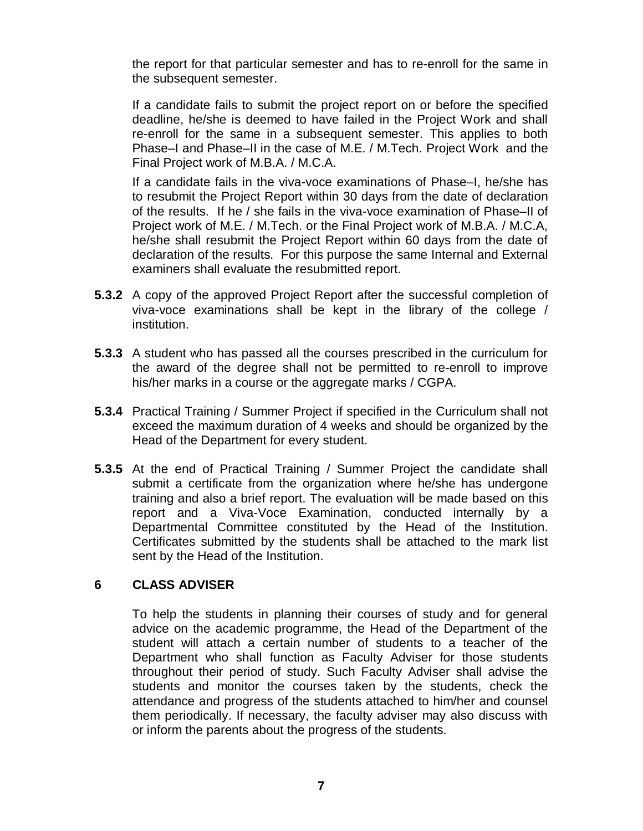the report for that particular semester and has to re-enroll for the same in the subsequent semester.

If a candidate fails to submit the project report on or before the specified deadline, he/she is deemed to have failed in the Project Work and shall re-enroll for the same in a subsequent semester. This applies to both Phase–I and Phase–II in the case of M.E. / M.Tech. Project Work and the Final Project work of M.B.A. / M.C.A.

If a candidate fails in the viva-voce examinations of Phase–I, he/she has to resubmit the Project Report within 30 days from the date of declaration of the results. If he / she fails in the viva-voce examination of Phase–II of Project work of M.E. / M.Tech. or the Final Project work of M.B.A. / M.C.A, he/she shall resubmit the Project Report within 60 days from the date of declaration of the results. For this purpose the same Internal and External examiners shall evaluate the resubmitted report.

- **5.3.2** A copy of the approved Project Report after the successful completion of viva-voce examinations shall be kept in the library of the college / institution.
- **5.3.3** A student who has passed all the courses prescribed in the curriculum for the award of the degree shall not be permitted to re-enroll to improve his/her marks in a course or the aggregate marks / CGPA.
- **5.3.4** Practical Training / Summer Project if specified in the Curriculum shall not exceed the maximum duration of 4 weeks and should be organized by the Head of the Department for every student.
- **5.3.5** At the end of Practical Training / Summer Project the candidate shall submit a certificate from the organization where he/she has undergone training and also a brief report. The evaluation will be made based on this report and a Viva-Voce Examination, conducted internally by a Departmental Committee constituted by the Head of the Institution. Certificates submitted by the students shall be attached to the mark list sent by the Head of the Institution.

### **6 CLASS ADVISER**

To help the students in planning their courses of study and for general advice on the academic programme, the Head of the Department of the student will attach a certain number of students to a teacher of the Department who shall function as Faculty Adviser for those students throughout their period of study. Such Faculty Adviser shall advise the students and monitor the courses taken by the students, check the attendance and progress of the students attached to him/her and counsel them periodically. If necessary, the faculty adviser may also discuss with or inform the parents about the progress of the students.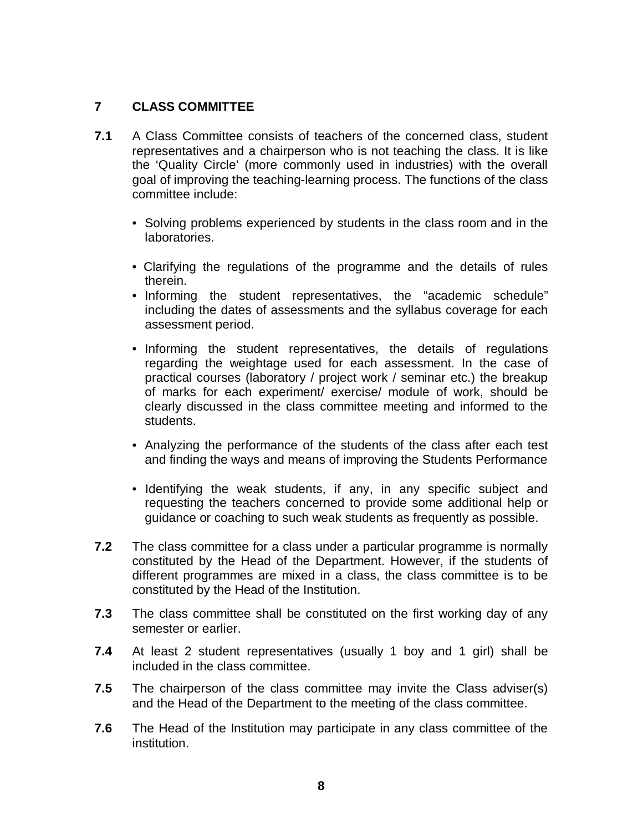# **7 CLASS COMMITTEE**

- **7.1** A Class Committee consists of teachers of the concerned class, student representatives and a chairperson who is not teaching the class. It is like the 'Quality Circle' (more commonly used in industries) with the overall goal of improving the teaching-learning process. The functions of the class committee include:
	- Solving problems experienced by students in the class room and in the laboratories.
	- Clarifying the regulations of the programme and the details of rules therein.
	- Informing the student representatives, the "academic schedule" including the dates of assessments and the syllabus coverage for each assessment period.
	- Informing the student representatives, the details of regulations regarding the weightage used for each assessment. In the case of practical courses (laboratory / project work / seminar etc.) the breakup of marks for each experiment/ exercise/ module of work, should be clearly discussed in the class committee meeting and informed to the students.
	- Analyzing the performance of the students of the class after each test and finding the ways and means of improving the Students Performance
	- Identifying the weak students, if any, in any specific subject and requesting the teachers concerned to provide some additional help or guidance or coaching to such weak students as frequently as possible.
- **7.2** The class committee for a class under a particular programme is normally constituted by the Head of the Department. However, if the students of different programmes are mixed in a class, the class committee is to be constituted by the Head of the Institution.
- **7.3** The class committee shall be constituted on the first working day of any semester or earlier.
- **7.4** At least 2 student representatives (usually 1 boy and 1 girl) shall be included in the class committee.
- **7.5** The chairperson of the class committee may invite the Class adviser(s) and the Head of the Department to the meeting of the class committee.
- **7.6** The Head of the Institution may participate in any class committee of the institution.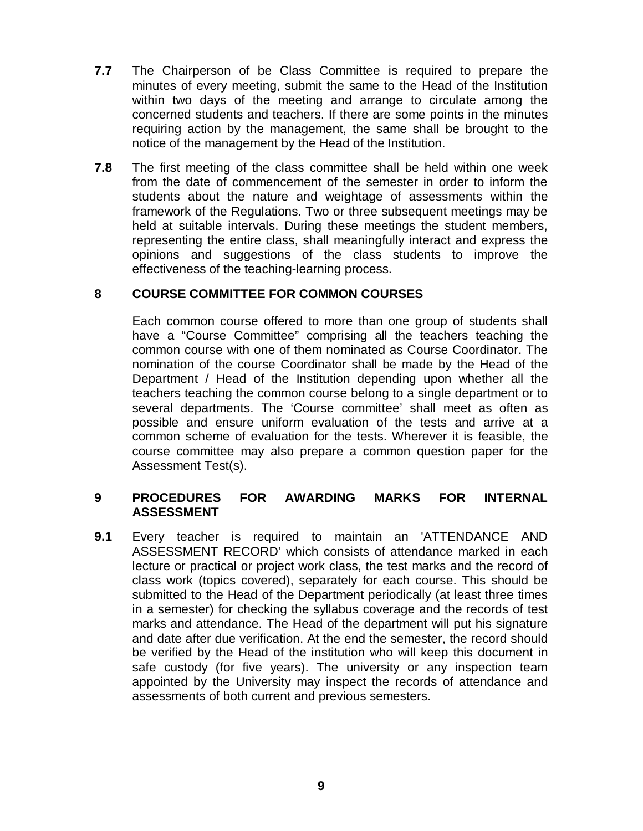- **7.7** The Chairperson of be Class Committee is required to prepare the minutes of every meeting, submit the same to the Head of the Institution within two days of the meeting and arrange to circulate among the concerned students and teachers. If there are some points in the minutes requiring action by the management, the same shall be brought to the notice of the management by the Head of the Institution.
- **7.8** The first meeting of the class committee shall be held within one week from the date of commencement of the semester in order to inform the students about the nature and weightage of assessments within the framework of the Regulations. Two or three subsequent meetings may be held at suitable intervals. During these meetings the student members, representing the entire class, shall meaningfully interact and express the opinions and suggestions of the class students to improve the effectiveness of the teaching-learning process.

### **8 COURSE COMMITTEE FOR COMMON COURSES**

Each common course offered to more than one group of students shall have a "Course Committee" comprising all the teachers teaching the common course with one of them nominated as Course Coordinator. The nomination of the course Coordinator shall be made by the Head of the Department / Head of the Institution depending upon whether all the teachers teaching the common course belong to a single department or to several departments. The 'Course committee' shall meet as often as possible and ensure uniform evaluation of the tests and arrive at a common scheme of evaluation for the tests. Wherever it is feasible, the course committee may also prepare a common question paper for the Assessment Test(s).

### **9 PROCEDURES FOR AWARDING MARKS FOR INTERNAL ASSESSMENT**

**9.1** Every teacher is required to maintain an 'ATTENDANCE AND ASSESSMENT RECORD' which consists of attendance marked in each lecture or practical or project work class, the test marks and the record of class work (topics covered), separately for each course. This should be submitted to the Head of the Department periodically (at least three times in a semester) for checking the syllabus coverage and the records of test marks and attendance. The Head of the department will put his signature and date after due verification. At the end the semester, the record should be verified by the Head of the institution who will keep this document in safe custody (for five years). The university or any inspection team appointed by the University may inspect the records of attendance and assessments of both current and previous semesters.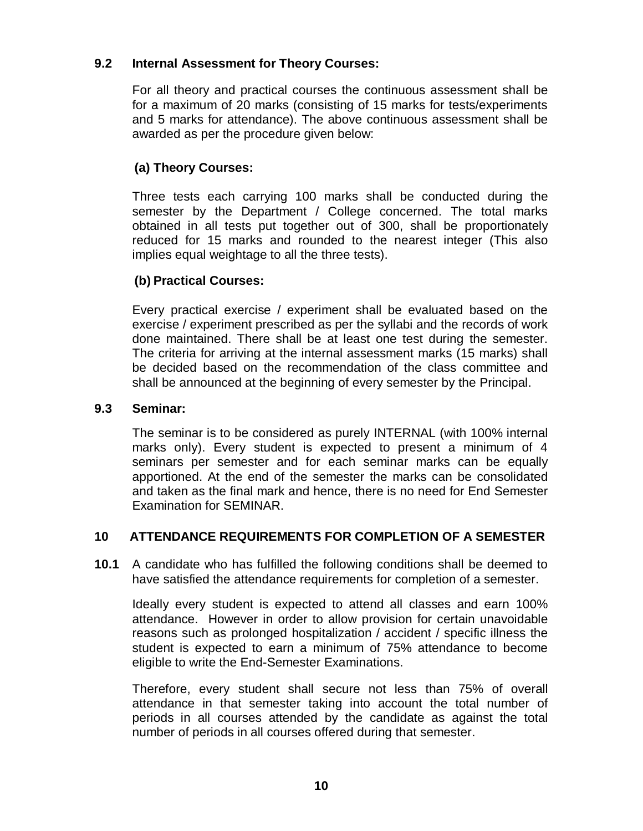## **9.2 Internal Assessment for Theory Courses:**

For all theory and practical courses the continuous assessment shall be for a maximum of 20 marks (consisting of 15 marks for tests/experiments and 5 marks for attendance). The above continuous assessment shall be awarded as per the procedure given below:

# **(a) Theory Courses:**

Three tests each carrying 100 marks shall be conducted during the semester by the Department / College concerned. The total marks obtained in all tests put together out of 300, shall be proportionately reduced for 15 marks and rounded to the nearest integer (This also implies equal weightage to all the three tests).

# **(b) Practical Courses:**

Every practical exercise / experiment shall be evaluated based on the exercise / experiment prescribed as per the syllabi and the records of work done maintained. There shall be at least one test during the semester. The criteria for arriving at the internal assessment marks (15 marks) shall be decided based on the recommendation of the class committee and shall be announced at the beginning of every semester by the Principal.

## **9.3 Seminar:**

The seminar is to be considered as purely INTERNAL (with 100% internal marks only). Every student is expected to present a minimum of 4 seminars per semester and for each seminar marks can be equally apportioned. At the end of the semester the marks can be consolidated and taken as the final mark and hence, there is no need for End Semester Examination for SEMINAR.

# **10 ATTENDANCE REQUIREMENTS FOR COMPLETION OF A SEMESTER**

**10.1** A candidate who has fulfilled the following conditions shall be deemed to have satisfied the attendance requirements for completion of a semester.

Ideally every student is expected to attend all classes and earn 100% attendance. However in order to allow provision for certain unavoidable reasons such as prolonged hospitalization / accident / specific illness the student is expected to earn a minimum of 75% attendance to become eligible to write the End-Semester Examinations.

Therefore, every student shall secure not less than 75% of overall attendance in that semester taking into account the total number of periods in all courses attended by the candidate as against the total number of periods in all courses offered during that semester.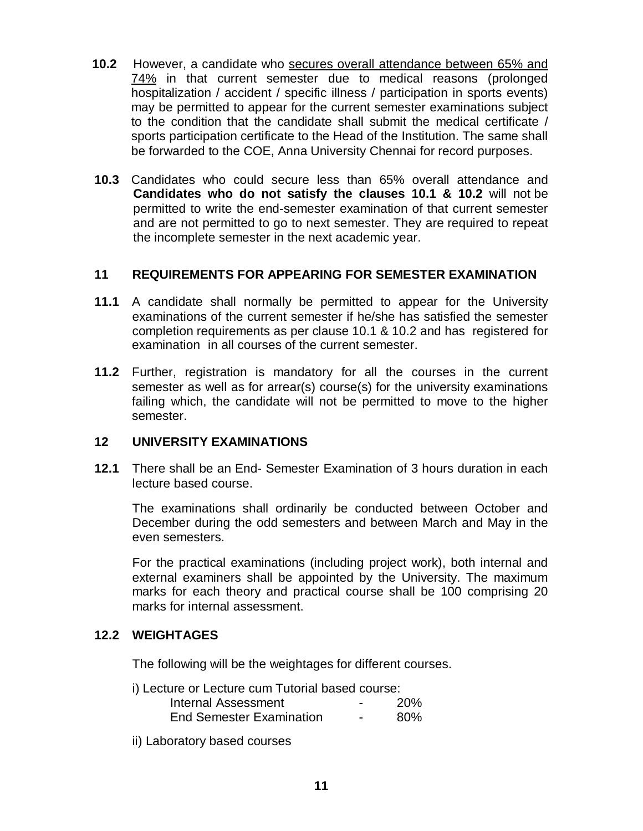- **10.2** However, a candidate who secures overall attendance between 65% and 74% in that current semester due to medical reasons (prolonged hospitalization / accident / specific illness / participation in sports events) may be permitted to appear for the current semester examinations subject to the condition that the candidate shall submit the medical certificate / sports participation certificate to the Head of the Institution. The same shall be forwarded to the COE, Anna University Chennai for record purposes.
- **10.3** Candidates who could secure less than 65% overall attendance and **Candidates who do not satisfy the clauses 10.1 & 10.2** will not be permitted to write the end-semester examination of that current semester and are not permitted to go to next semester. They are required to repeat the incomplete semester in the next academic year.

### **11 REQUIREMENTS FOR APPEARING FOR SEMESTER EXAMINATION**

- **11.1** A candidate shall normally be permitted to appear for the University examinations of the current semester if he/she has satisfied the semester completion requirements as per clause 10.1 & 10.2 and has registered for examination in all courses of the current semester.
- **11.2** Further, registration is mandatory for all the courses in the current semester as well as for arrear(s) course(s) for the university examinations failing which, the candidate will not be permitted to move to the higher semester.

### **12 UNIVERSITY EXAMINATIONS**

**12.1** There shall be an End- Semester Examination of 3 hours duration in each lecture based course.

The examinations shall ordinarily be conducted between October and December during the odd semesters and between March and May in the even semesters.

For the practical examinations (including project work), both internal and external examiners shall be appointed by the University. The maximum marks for each theory and practical course shall be 100 comprising 20 marks for internal assessment.

### **12.2 WEIGHTAGES**

The following will be the weightages for different courses.

| Internal Assessment             | -                        | <b>20%</b> |
|---------------------------------|--------------------------|------------|
| <b>End Semester Examination</b> | $\overline{\phantom{0}}$ | 80%        |

ii) Laboratory based courses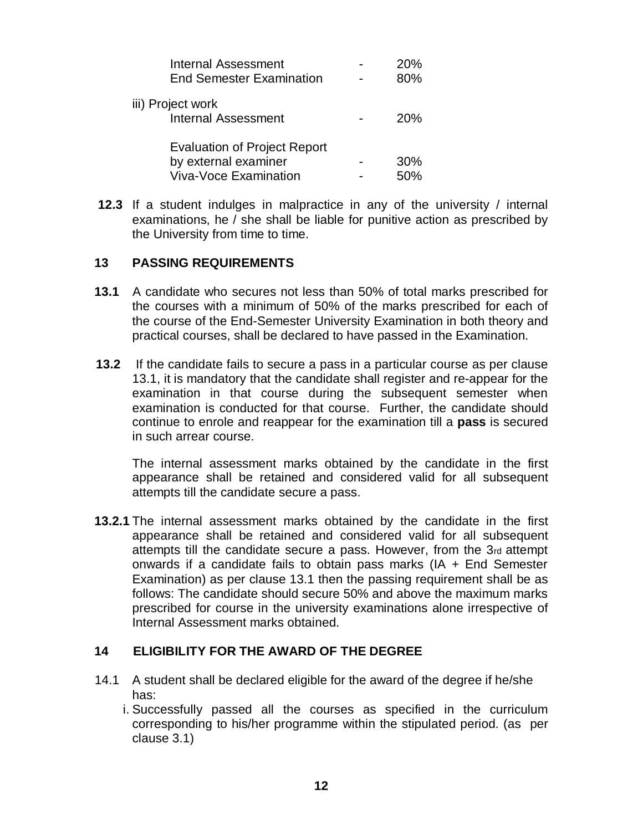| <b>Internal Assessment</b>          | 20% |
|-------------------------------------|-----|
| <b>End Semester Examination</b>     | 80% |
| iii) Project work                   |     |
| <b>Internal Assessment</b>          | 20% |
| <b>Evaluation of Project Report</b> |     |
| by external examiner                | 30% |
| <b>Viva-Voce Examination</b>        | 50% |

**12.3** If a student indulges in malpractice in any of the university / internal examinations, he / she shall be liable for punitive action as prescribed by the University from time to time.

#### **13 PASSING REQUIREMENTS**

- **13.1** A candidate who secures not less than 50% of total marks prescribed for the courses with a minimum of 50% of the marks prescribed for each of the course of the End-Semester University Examination in both theory and practical courses, shall be declared to have passed in the Examination.
- **13.2** If the candidate fails to secure a pass in a particular course as per clause 13.1, it is mandatory that the candidate shall register and re-appear for the examination in that course during the subsequent semester when examination is conducted for that course. Further, the candidate should continue to enrole and reappear for the examination till a **pass** is secured in such arrear course.

The internal assessment marks obtained by the candidate in the first appearance shall be retained and considered valid for all subsequent attempts till the candidate secure a pass.

**13.2.1** The internal assessment marks obtained by the candidate in the first appearance shall be retained and considered valid for all subsequent attempts till the candidate secure a pass. However, from the 3rd attempt onwards if a candidate fails to obtain pass marks (IA + End Semester Examination) as per clause 13.1 then the passing requirement shall be as follows: The candidate should secure 50% and above the maximum marks prescribed for course in the university examinations alone irrespective of Internal Assessment marks obtained.

### **14 ELIGIBILITY FOR THE AWARD OF THE DEGREE**

- 14.1 A student shall be declared eligible for the award of the degree if he/she has:
	- i. Successfully passed all the courses as specified in the curriculum corresponding to his/her programme within the stipulated period. (as per clause 3.1)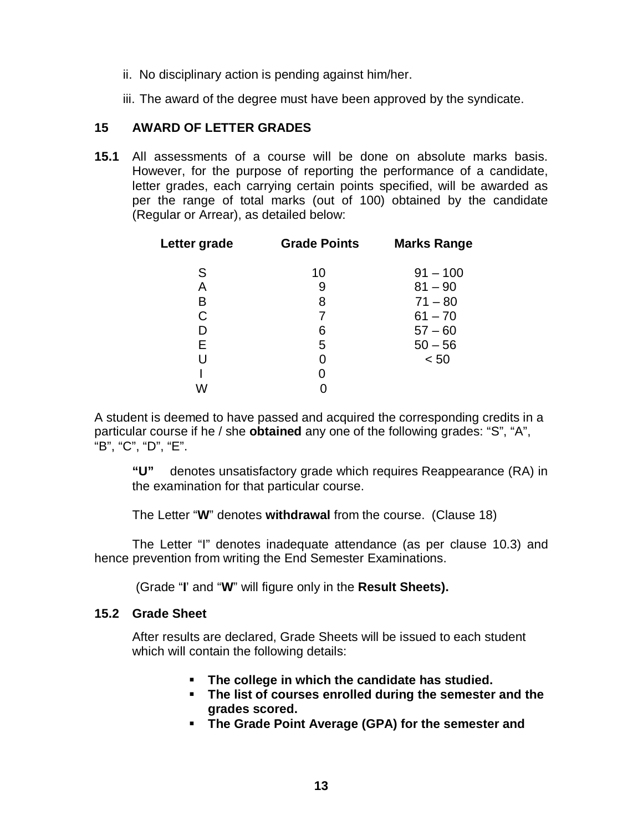- ii. No disciplinary action is pending against him/her.
- iii. The award of the degree must have been approved by the syndicate.

### **15 AWARD OF LETTER GRADES**

**15.1** All assessments of a course will be done on absolute marks basis. However, for the purpose of reporting the performance of a candidate, letter grades, each carrying certain points specified, will be awarded as per the range of total marks (out of 100) obtained by the candidate (Regular or Arrear), as detailed below:

| Letter grade | <b>Grade Points</b> | <b>Marks Range</b> |
|--------------|---------------------|--------------------|
| S            | 10                  | $91 - 100$         |
| Α            | 9                   | $81 - 90$          |
| B            | 8                   | $71 - 80$          |
| С            | 7                   | $61 - 70$          |
| D            | 6                   | $57 - 60$          |
| Е            | 5                   | $50 - 56$          |
|              | 0                   | < 50               |
|              | 0                   |                    |
|              |                     |                    |

A student is deemed to have passed and acquired the corresponding credits in a particular course if he / she **obtained** any one of the following grades: "S", "A", "B", "C", "D", "E".

**"U"** denotes unsatisfactory grade which requires Reappearance (RA) in the examination for that particular course.

The Letter "**W**" denotes **withdrawal** from the course. (Clause 18)

The Letter "I" denotes inadequate attendance (as per clause 10.3) and hence prevention from writing the End Semester Examinations.

(Grade "**I**' and "**W**" will figure only in the **Result Sheets).**

#### **15.2 Grade Sheet**

After results are declared, Grade Sheets will be issued to each student which will contain the following details:

- **The college in which the candidate has studied.**
- **The list of courses enrolled during the semester and the grades scored.**
- **The Grade Point Average (GPA) for the semester and**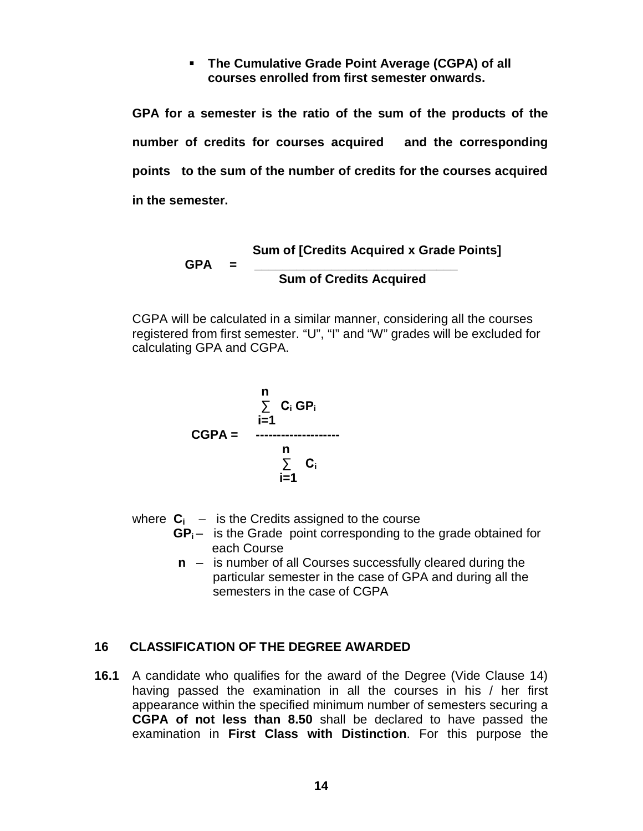### **The Cumulative Grade Point Average (CGPA) of all courses enrolled from first semester onwards.**

**GPA for a semester is the ratio of the sum of the products of the number of credits for courses acquired and the corresponding points to the sum of the number of credits for the courses acquired in the semester.**

> **Sum of [Credits Acquired x Grade Points] GPA = \_\_\_\_\_\_\_\_\_\_\_\_\_\_\_\_\_\_\_\_\_\_\_\_\_\_\_\_\_ Sum of Credits Acquired**

CGPA will be calculated in a similar manner, considering all the courses registered from first semester. "U", "I" and "W" grades will be excluded for calculating GPA and CGPA.

$$
\begin{array}{rcl}\n & \sum_{i=1}^{n} & C_i \text{ GP}_i \\
& \vdots = 1 \\
& & \sum_{i=1}^{n} & C_i \\
& & \vdots = 1\n\end{array}
$$

where  $C_i$  – is the Credits assigned to the course

- GP<sub>i</sub>- is the Grade point corresponding to the grade obtained for each Course
- **n**  is number of all Courses successfully cleared during the particular semester in the case of GPA and during all the semesters in the case of CGPA

# **16 CLASSIFICATION OF THE DEGREE AWARDED**

**16.1** A candidate who qualifies for the award of the Degree (Vide Clause 14) having passed the examination in all the courses in his / her first appearance within the specified minimum number of semesters securing a **CGPA of not less than 8.50** shall be declared to have passed the examination in **First Class with Distinction**. For this purpose the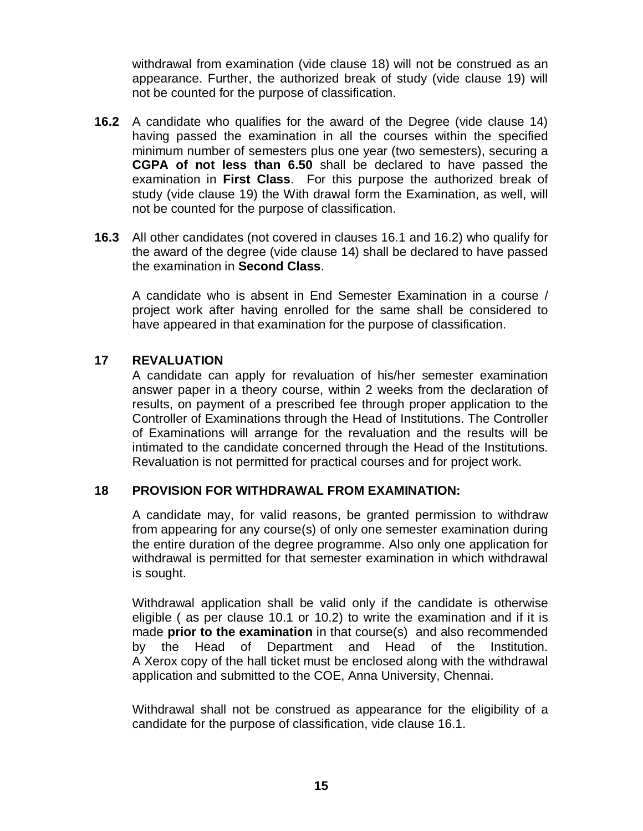withdrawal from examination (vide clause 18) will not be construed as an appearance. Further, the authorized break of study (vide clause 19) will not be counted for the purpose of classification.

- **16.2** A candidate who qualifies for the award of the Degree (vide clause 14) having passed the examination in all the courses within the specified minimum number of semesters plus one year (two semesters), securing a **CGPA of not less than 6.50** shall be declared to have passed the examination in **First Class**. For this purpose the authorized break of study (vide clause 19) the With drawal form the Examination, as well, will not be counted for the purpose of classification.
- **16.3** All other candidates (not covered in clauses 16.1 and 16.2) who qualify for the award of the degree (vide clause 14) shall be declared to have passed the examination in **Second Class**.

A candidate who is absent in End Semester Examination in a course / project work after having enrolled for the same shall be considered to have appeared in that examination for the purpose of classification.

### **17 REVALUATION**

A candidate can apply for revaluation of his/her semester examination answer paper in a theory course, within 2 weeks from the declaration of results, on payment of a prescribed fee through proper application to the Controller of Examinations through the Head of Institutions. The Controller of Examinations will arrange for the revaluation and the results will be intimated to the candidate concerned through the Head of the Institutions. Revaluation is not permitted for practical courses and for project work.

#### **18 PROVISION FOR WITHDRAWAL FROM EXAMINATION:**

A candidate may, for valid reasons, be granted permission to withdraw from appearing for any course(s) of only one semester examination during the entire duration of the degree programme. Also only one application for withdrawal is permitted for that semester examination in which withdrawal is sought.

Withdrawal application shall be valid only if the candidate is otherwise eligible ( as per clause 10.1 or 10.2) to write the examination and if it is made **prior to the examination** in that course(s) and also recommended by the Head of Department and Head of the Institution. A Xerox copy of the hall ticket must be enclosed along with the withdrawal application and submitted to the COE, Anna University, Chennai.

Withdrawal shall not be construed as appearance for the eligibility of a candidate for the purpose of classification, vide clause 16.1.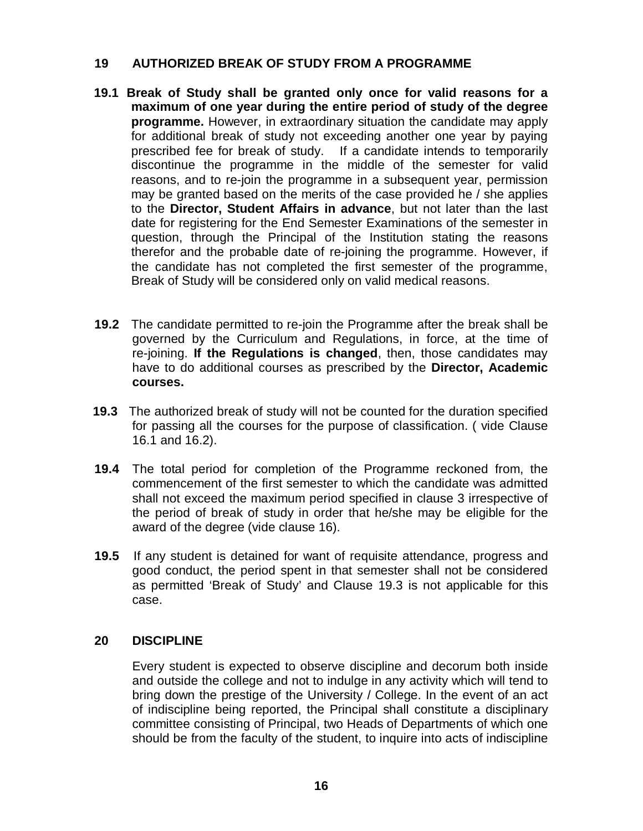### **19 AUTHORIZED BREAK OF STUDY FROM A PROGRAMME**

- **19.1 Break of Study shall be granted only once for valid reasons for a maximum of one year during the entire period of study of the degree programme.** However, in extraordinary situation the candidate may apply for additional break of study not exceeding another one year by paying prescribed fee for break of study. If a candidate intends to temporarily discontinue the programme in the middle of the semester for valid reasons, and to re-join the programme in a subsequent year, permission may be granted based on the merits of the case provided he / she applies to the **Director, Student Affairs in advance**, but not later than the last date for registering for the End Semester Examinations of the semester in question, through the Principal of the Institution stating the reasons therefor and the probable date of re-joining the programme. However, if the candidate has not completed the first semester of the programme, Break of Study will be considered only on valid medical reasons.
- **19.2** The candidate permitted to re-join the Programme after the break shall be governed by the Curriculum and Regulations, in force, at the time of re-joining. **If the Regulations is changed**, then, those candidates may have to do additional courses as prescribed by the **Director, Academic courses.**
- **19.3** The authorized break of study will not be counted for the duration specified for passing all the courses for the purpose of classification. ( vide Clause 16.1 and 16.2).
- **19.4** The total period for completion of the Programme reckoned from, the commencement of the first semester to which the candidate was admitted shall not exceed the maximum period specified in clause 3 irrespective of the period of break of study in order that he/she may be eligible for the award of the degree (vide clause 16).
- **19.5** If any student is detained for want of requisite attendance, progress and good conduct, the period spent in that semester shall not be considered as permitted 'Break of Study' and Clause 19.3 is not applicable for this case.

### **20 DISCIPLINE**

Every student is expected to observe discipline and decorum both inside and outside the college and not to indulge in any activity which will tend to bring down the prestige of the University / College. In the event of an act of indiscipline being reported, the Principal shall constitute a disciplinary committee consisting of Principal, two Heads of Departments of which one should be from the faculty of the student, to inquire into acts of indiscipline